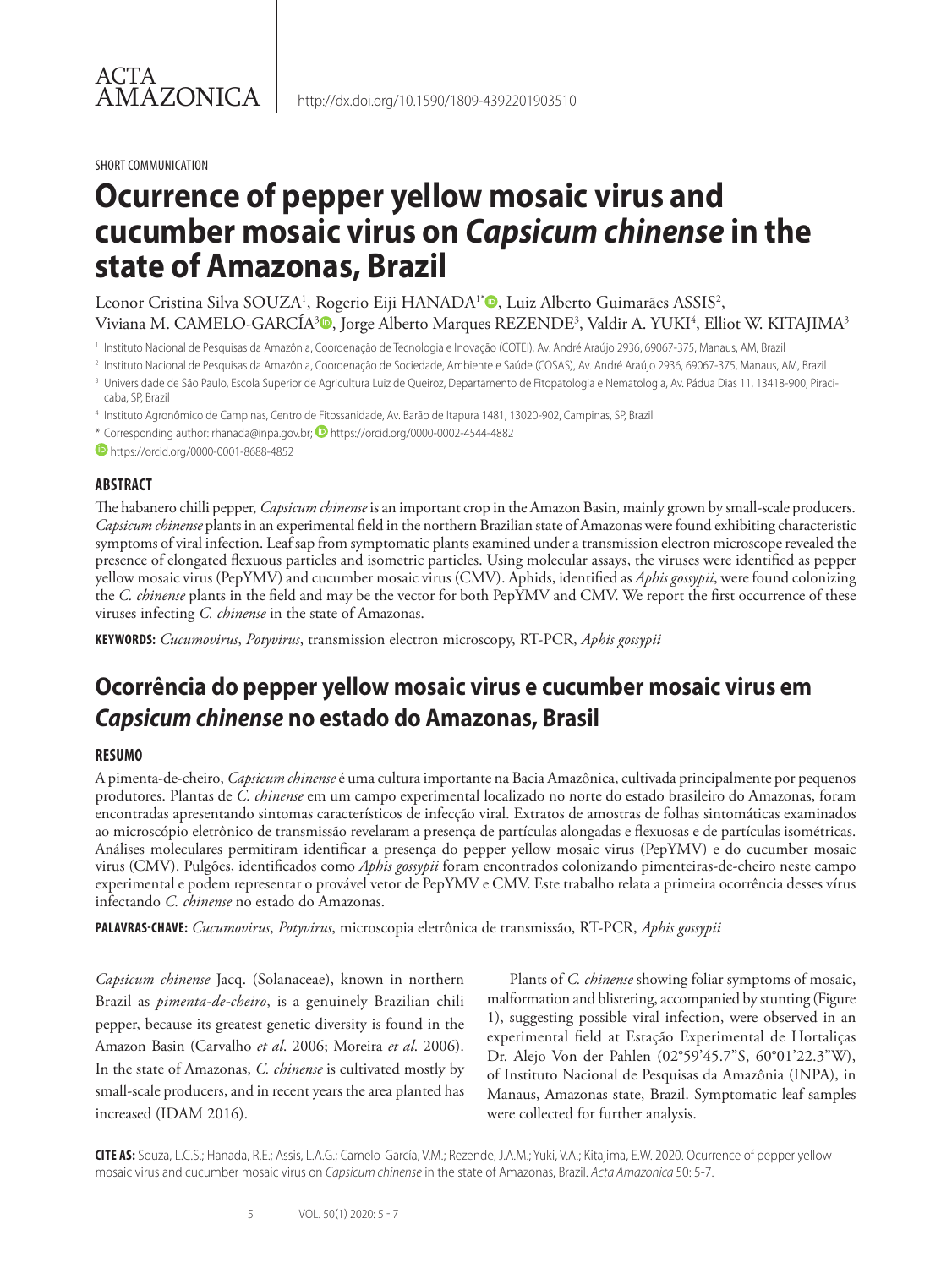#### SHORT COMMUNICATION

# **Ocurrence of pepper yellow mosaic virus and cucumber mosaic virus on** *Capsicum chinense* **in the state of Amazonas, Brazil**

Leonor Cristina Silva SOUZA<sup>1</sup>, Rogerio Eiji HANADA<sup>1</sup>®, Luiz Alberto Guimarães ASSIS<sup>2</sup>, Viviana M. CAMELO-GARCÍA3®, Jorge Alberto Marques REZENDE3, Valdir A. YUKI4, Elliot W. KITAJIMA3

<sup>1</sup> Instituto Nacional de Pesquisas da Amazônia, Coordenação de Tecnologia e Inovação (COTEI), Av. André Araújo 2936, 69067-375, Manaus, AM, Brazil

<sup>2</sup> Instituto Nacional de Pesquisas da Amazônia, Coordenação de Sociedade, Ambiente e Saúde (COSAS), Av. André Araújo 2936, 69067-375, Manaus, AM, Brazil

<sup>3</sup> Universidade de São Paulo, Escola Superior de Agricultura Luiz de Queiroz, Departamento de Fitopatologia e Nematologia, Av. Pádua Dias 11, 13418-900, Piracicaba, SP, Brazil

<sup>4</sup> Instituto Agronômico de Campinas, Centro de Fitossanidade, Av. Barão de Itapura 1481, 13020-902, Campinas, SP, Brazil

\* Corresponding author: rhanada@inpa.gov.br; **D** https://orcid.org/0000-0002-4544-4882

https://orcid.org/0000-0001-8688-4852

### **ABSTRACT**

The habanero chilli pepper, *Capsicum chinense* is an important crop in the Amazon Basin, mainly grown by small-scale producers. *Capsicum chinense* plants in an experimental field in the northern Brazilian state of Amazonas were found exhibiting characteristic symptoms of viral infection. Leaf sap from symptomatic plants examined under a transmission electron microscope revealed the presence of elongated flexuous particles and isometric particles. Using molecular assays, the viruses were identified as pepper yellow mosaic virus (PepYMV) and cucumber mosaic virus (CMV). Aphids, identified as *Aphis gossypii*, were found colonizing the *C. chinense* plants in the field and may be the vector for both PepYMV and CMV. We report the first occurrence of these viruses infecting *C. chinense* in the state of Amazonas.

**KEYWORDS:** *Cucumovirus*, *Potyvirus*, transmission electron microscopy, RT-PCR, *Aphis gossypii*

# **Ocorrência do pepper yellow mosaic virus e cucumber mosaic virus em**  *Capsicum chinense* **no estado do Amazonas, Brasil**

### **RESUMO**

A pimenta-de-cheiro, *Capsicum chinense* é uma cultura importante na Bacia Amazônica, cultivada principalmente por pequenos produtores. Plantas de *C. chinense* em um campo experimental localizado no norte do estado brasileiro do Amazonas, foram encontradas apresentando sintomas característicos de infecção viral. Extratos de amostras de folhas sintomáticas examinados ao microscópio eletrônico de transmissão revelaram a presença de partículas alongadas e flexuosas e de partículas isométricas. Análises moleculares permitiram identificar a presença do pepper yellow mosaic virus (PepYMV) e do cucumber mosaic virus (CMV). Pulgões, identificados como *Aphis gossypii* foram encontrados colonizando pimenteiras-de-cheiro neste campo experimental e podem representar o provável vetor de PepYMV e CMV. Este trabalho relata a primeira ocorrência desses vírus infectando *C. chinense* no estado do Amazonas.

**PALAVRAS-CHAVE:** *Cucumovirus*, *Potyvirus*, microscopia eletrônica de transmissão, RT-PCR, *Aphis gossypii*

*Capsicum chinense* Jacq. (Solanaceae), known in northern Brazil as *pimenta-de-cheiro*, is a genuinely Brazilian chili pepper, because its greatest genetic diversity is found in the Amazon Basin (Carvalho *et al*. 2006; Moreira *et al*. 2006). In the state of Amazonas, *C. chinense* is cultivated mostly by small-scale producers, and in recent years the area planted has increased (IDAM 2016).

Plants of *C. chinense* showing foliar symptoms of mosaic, malformation and blistering, accompanied by stunting (Figure 1), suggesting possible viral infection, were observed in an experimental field at Estação Experimental de Hortaliças Dr. Alejo Von der Pahlen (02°59'45.7"S, 60°01'22.3"W), of Instituto Nacional de Pesquisas da Amazônia (INPA), in Manaus, Amazonas state, Brazil. Symptomatic leaf samples were collected for further analysis.

**CITE AS:** Souza, L.C.S.; Hanada, R.E.; Assis, L.A.G.; Camelo-García, V.M.; Rezende, J.A.M.; Yuki, V.A.; Kitajima, E.W. 2020. Ocurrence of pepper yellow mosaic virus and cucumber mosaic virus on *Capsicum chinense* in the state of Amazonas, Brazil. *Acta Amazonica* 50: 5-7.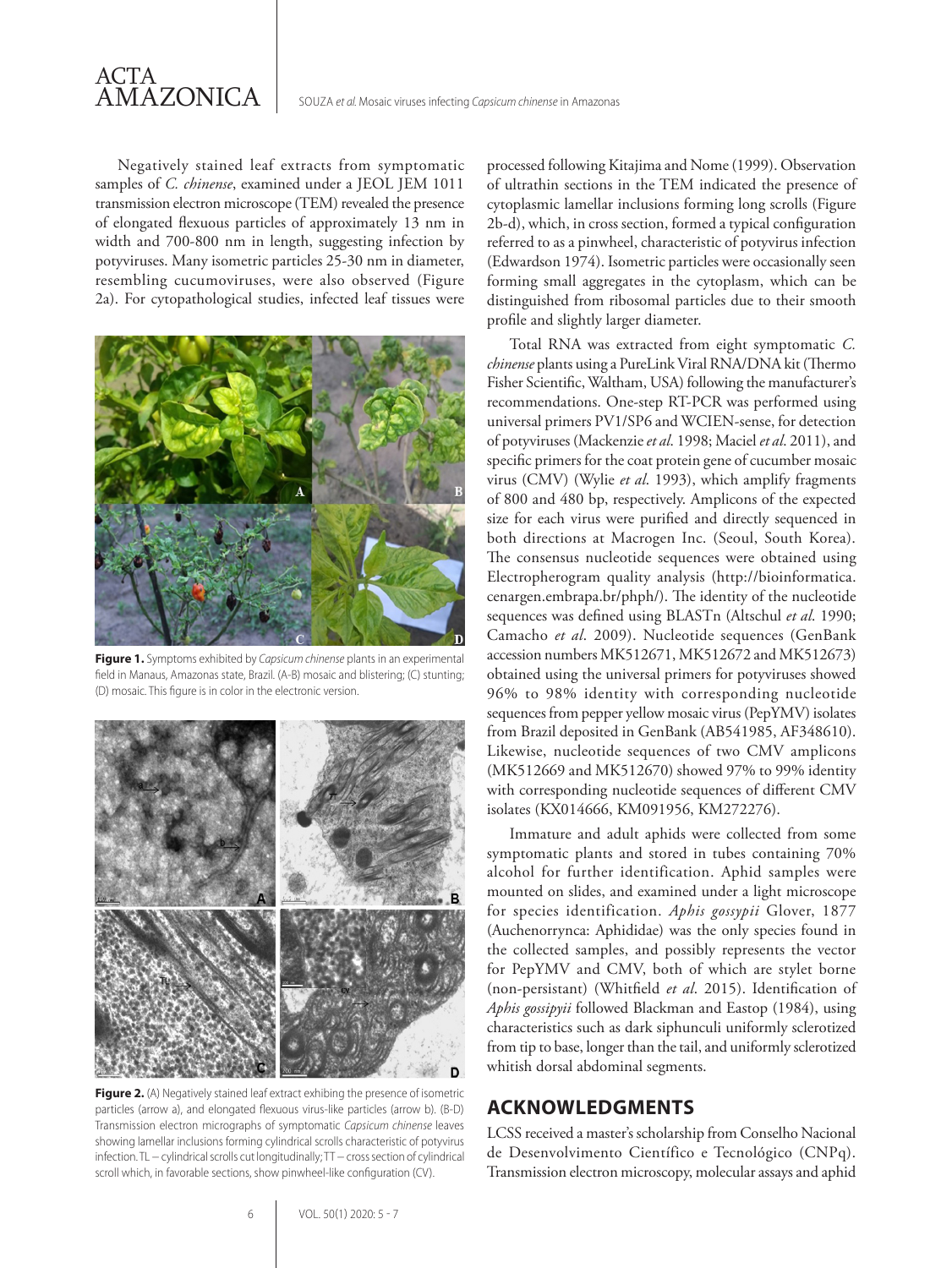Negatively stained leaf extracts from symptomatic samples of *C. chinense*, examined under a JEOL JEM 1011 transmission electron microscope (TEM) revealed the presence of elongated flexuous particles of approximately 13 nm in width and 700-800 nm in length, suggesting infection by potyviruses. Many isometric particles 25-30 nm in diameter, resembling cucumoviruses, were also observed (Figure 2a). For cytopathological studies, infected leaf tissues were



**Figure 1.** Symptoms exhibited by *Capsicum chinense* plants in an experimental field in Manaus, Amazonas state, Brazil. (A-B) mosaic and blistering; (C) stunting; (D) mosaic. This figure is in color in the electronic version.



**Figure 2.** (A) Negatively stained leaf extract exhibing the presence of isometric particles (arrow a), and elongated flexuous virus-like particles (arrow b). (B-D) Transmission electron micrographs of symptomatic *Capsicum chinense* leaves showing lamellar inclusions forming cylindrical scrolls characteristic of potyvirus infection. TL − cylindrical scrolls cut longitudinally; TT − cross section of cylindrical scroll which, in favorable sections, show pinwheel-like configuration (CV).

processed following Kitajima and Nome (1999). Observation of ultrathin sections in the TEM indicated the presence of cytoplasmic lamellar inclusions forming long scrolls (Figure 2b-d), which, in cross section, formed a typical configuration referred to as a pinwheel, characteristic of potyvirus infection (Edwardson 1974). Isometric particles were occasionally seen forming small aggregates in the cytoplasm, which can be distinguished from ribosomal particles due to their smooth profile and slightly larger diameter.

Total RNA was extracted from eight symptomatic *C. chinense* plants using a PureLink Viral RNA/DNA kit (Thermo Fisher Scientific, Waltham, USA) following the manufacturer's recommendations. One-step RT-PCR was performed using universal primers PV1/SP6 and WCIEN-sense, for detection of potyviruses (Mackenzie *et al*. 1998; Maciel *et al*. 2011), and specific primers for the coat protein gene of cucumber mosaic virus (CMV) (Wylie *et al*. 1993), which amplify fragments of 800 and 480 bp, respectively. Amplicons of the expected size for each virus were purified and directly sequenced in both directions at Macrogen Inc. (Seoul, South Korea). The consensus nucleotide sequences were obtained using Electropherogram quality analysis (http://bioinformatica. cenargen.embrapa.br/phph/). The identity of the nucleotide sequences was defined using BLASTn (Altschul *et al*. 1990; Camacho *et al*. 2009). Nucleotide sequences (GenBank accession numbers MK512671, MK512672 and MK512673) obtained using the universal primers for potyviruses showed 96% to 98% identity with corresponding nucleotide sequences from pepper yellow mosaic virus (PepYMV) isolates from Brazil deposited in GenBank (AB541985, AF348610). Likewise, nucleotide sequences of two CMV amplicons (MK512669 and MK512670) showed 97% to 99% identity with corresponding nucleotide sequences of different CMV isolates (KX014666, KM091956, KM272276).

Immature and adult aphids were collected from some symptomatic plants and stored in tubes containing 70% alcohol for further identification. Aphid samples were mounted on slides, and examined under a light microscope for species identification. *Aphis gossypii* Glover, 1877 (Auchenorrynca: Aphididae) was the only species found in the collected samples, and possibly represents the vector for PepYMV and CMV, both of which are stylet borne (non-persistant) (Whitfield *et al*. 2015). Identification of *Aphis gossipyii* followed Blackman and Eastop (1984), using characteristics such as dark siphunculi uniformly sclerotized from tip to base, longer than the tail, and uniformly sclerotized whitish dorsal abdominal segments.

## **ACKNOWLEDGMENTS**

LCSS received a master's scholarship from Conselho Nacional de Desenvolvimento Científico e Tecnológico (CNPq). Transmission electron microscopy, molecular assays and aphid